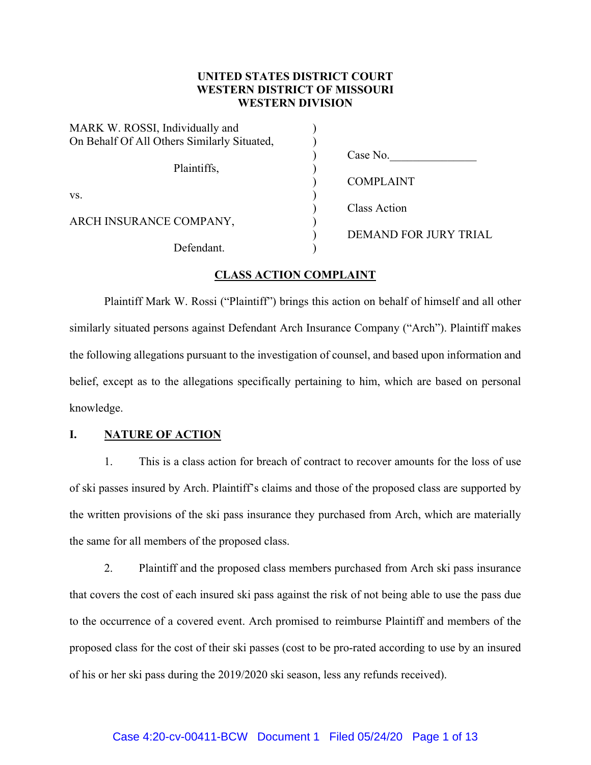# **UNITED STATES DISTRICT COURT WESTERN DISTRICT OF MISSOURI WESTERN DIVISION**

| MARK W. ROSSI, Individually and             |                              |
|---------------------------------------------|------------------------------|
| On Behalf Of All Others Similarly Situated, |                              |
|                                             | Case No.                     |
| Plaintiffs,                                 |                              |
|                                             | <b>COMPLAINT</b>             |
| VS.                                         |                              |
|                                             | Class Action                 |
| ARCH INSURANCE COMPANY,                     |                              |
|                                             | <b>DEMAND FOR JURY TRIAL</b> |
| Defendant.                                  |                              |

## **CLASS ACTION COMPLAINT**

Plaintiff Mark W. Rossi ("Plaintiff") brings this action on behalf of himself and all other similarly situated persons against Defendant Arch Insurance Company ("Arch"). Plaintiff makes the following allegations pursuant to the investigation of counsel, and based upon information and belief, except as to the allegations specifically pertaining to him, which are based on personal knowledge.

### **I. NATURE OF ACTION**

1. This is a class action for breach of contract to recover amounts for the loss of use of ski passes insured by Arch. Plaintiff's claims and those of the proposed class are supported by the written provisions of the ski pass insurance they purchased from Arch, which are materially the same for all members of the proposed class.

2. Plaintiff and the proposed class members purchased from Arch ski pass insurance that covers the cost of each insured ski pass against the risk of not being able to use the pass due to the occurrence of a covered event. Arch promised to reimburse Plaintiff and members of the proposed class for the cost of their ski passes (cost to be pro-rated according to use by an insured of his or her ski pass during the 2019/2020 ski season, less any refunds received).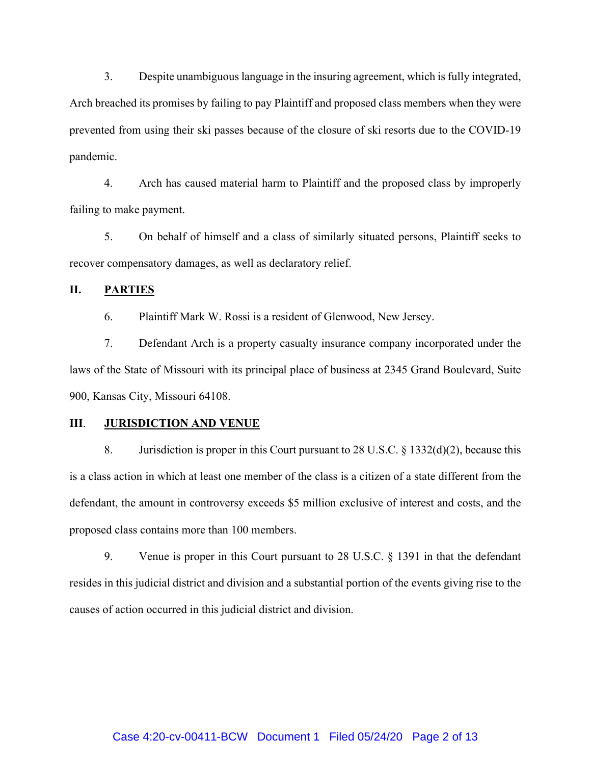3. Despite unambiguous language in the insuring agreement, which is fully integrated, Arch breached its promises by failing to pay Plaintiff and proposed class members when they were prevented from using their ski passes because of the closure of ski resorts due to the COVID-19 pandemic.

4. Arch has caused material harm to Plaintiff and the proposed class by improperly failing to make payment.

5. On behalf of himself and a class of similarly situated persons, Plaintiff seeks to recover compensatory damages, as well as declaratory relief.

## **II. PARTIES**

6. Plaintiff Mark W. Rossi is a resident of Glenwood, New Jersey.

7. Defendant Arch is a property casualty insurance company incorporated under the laws of the State of Missouri with its principal place of business at 2345 Grand Boulevard, Suite 900, Kansas City, Missouri 64108.

#### **III**. **JURISDICTION AND VENUE**

8. Jurisdiction is proper in this Court pursuant to 28 U.S.C. § 1332(d)(2), because this is a class action in which at least one member of the class is a citizen of a state different from the defendant, the amount in controversy exceeds \$5 million exclusive of interest and costs, and the proposed class contains more than 100 members.

9. Venue is proper in this Court pursuant to 28 U.S.C. § 1391 in that the defendant resides in this judicial district and division and a substantial portion of the events giving rise to the causes of action occurred in this judicial district and division.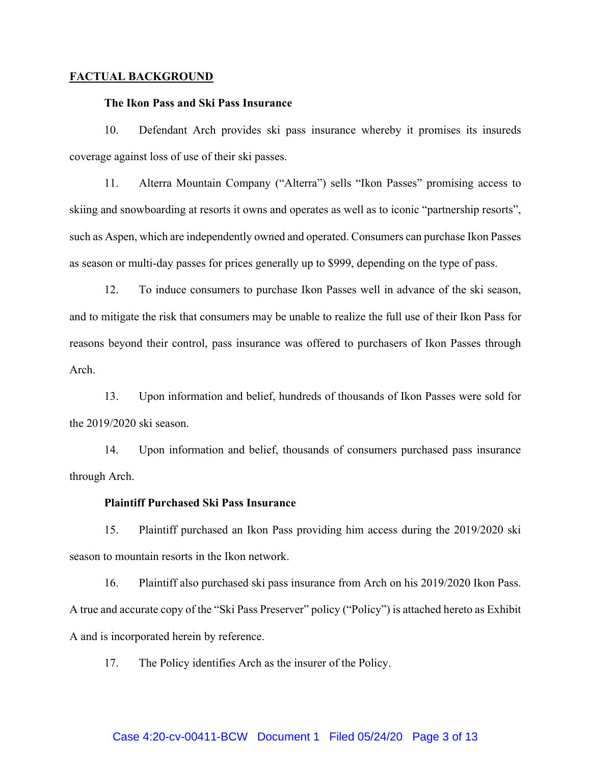#### **FACTUAL BACKGROUND**

#### **The Ikon Pass and Ski Pass Insurance**

10. Defendant Arch provides ski pass insurance whereby it promises its insureds coverage against loss of use of their ski passes.

11. Alterra Mountain Company ("Alterra") sells "Ikon Passes" promising access to skiing and snowboarding at resorts it owns and operates as well as to iconic "partnership resorts", such as Aspen, which are independently owned and operated. Consumers can purchase Ikon Passes as season or multi-day passes for prices generally up to \$999, depending on the type of pass.

12. To induce consumers to purchase Ikon Passes well in advance of the ski season, and to mitigate the risk that consumers may be unable to realize the full use of their Ikon Pass for reasons beyond their control, pass insurance was offered to purchasers of Ikon Passes through Arch.

13. Upon information and belief, hundreds of thousands of Ikon Passes were sold for the 2019/2020 ski season.

14. Upon information and belief, thousands of consumers purchased pass insurance through Arch.

#### **Plaintiff Purchased Ski Pass Insurance**

15. Plaintiff purchased an Ikon Pass providing him access during the 2019/2020 ski season to mountain resorts in the Ikon network.

16. Plaintiff also purchased ski pass insurance from Arch on his 2019/2020 Ikon Pass. A true and accurate copy of the "Ski Pass Preserver" policy ("Policy") is attached hereto as Exhibit A and is incorporated herein by reference.

17. The Policy identifies Arch as the insurer of the Policy.

#### Case 4:20-cv-00411-BCW Document 1 Filed 05/24/20 Page 3 of 13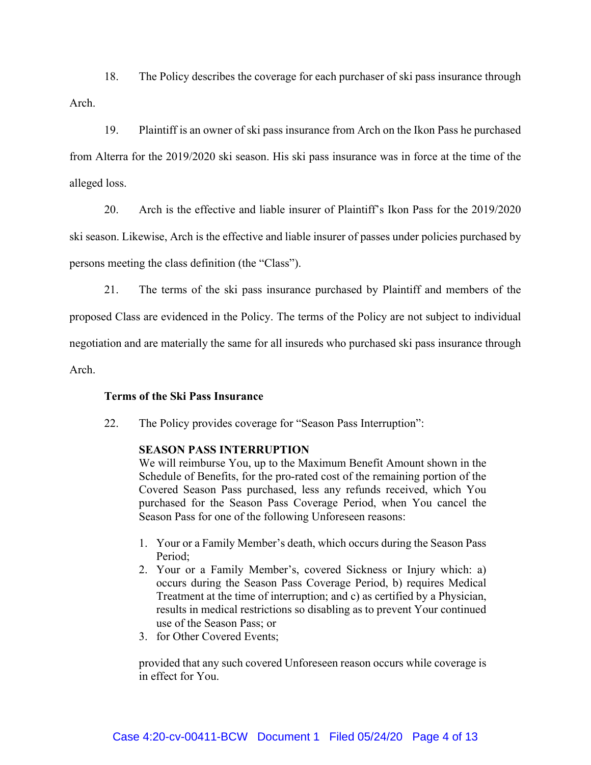18. The Policy describes the coverage for each purchaser of ski pass insurance through Arch.

19. Plaintiff is an owner of ski pass insurance from Arch on the Ikon Pass he purchased from Alterra for the 2019/2020 ski season. His ski pass insurance was in force at the time of the alleged loss.

20. Arch is the effective and liable insurer of Plaintiff's Ikon Pass for the 2019/2020 ski season. Likewise, Arch is the effective and liable insurer of passes under policies purchased by persons meeting the class definition (the "Class").

21. The terms of the ski pass insurance purchased by Plaintiff and members of the proposed Class are evidenced in the Policy. The terms of the Policy are not subject to individual negotiation and are materially the same for all insureds who purchased ski pass insurance through Arch.

## **Terms of the Ski Pass Insurance**

22. The Policy provides coverage for "Season Pass Interruption":

## **SEASON PASS INTERRUPTION**

We will reimburse You, up to the Maximum Benefit Amount shown in the Schedule of Benefits, for the pro-rated cost of the remaining portion of the Covered Season Pass purchased, less any refunds received, which You purchased for the Season Pass Coverage Period, when You cancel the Season Pass for one of the following Unforeseen reasons:

- 1. Your or a Family Member's death, which occurs during the Season Pass Period;
- 2. Your or a Family Member's, covered Sickness or Injury which: a) occurs during the Season Pass Coverage Period, b) requires Medical Treatment at the time of interruption; and c) as certified by a Physician, results in medical restrictions so disabling as to prevent Your continued use of the Season Pass; or
- 3. for Other Covered Events;

provided that any such covered Unforeseen reason occurs while coverage is in effect for You.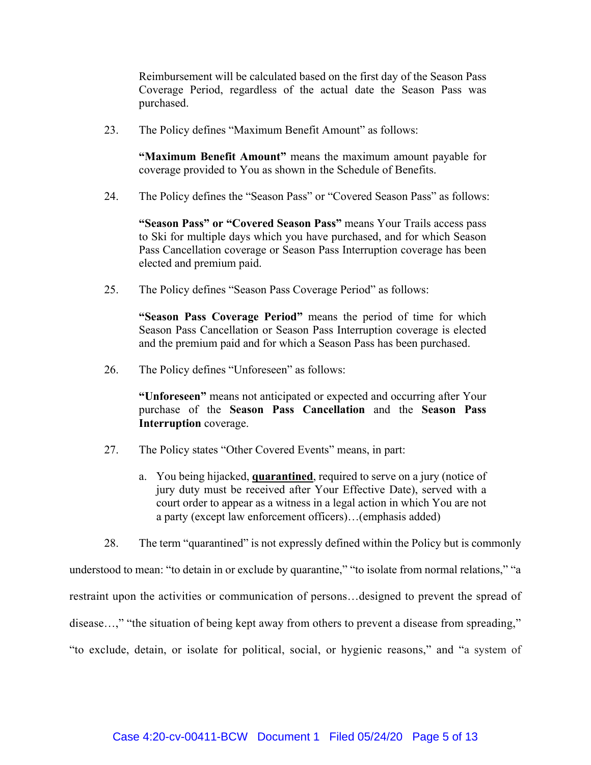Reimbursement will be calculated based on the first day of the Season Pass Coverage Period, regardless of the actual date the Season Pass was purchased.

23. The Policy defines "Maximum Benefit Amount" as follows:

**"Maximum Benefit Amount"** means the maximum amount payable for coverage provided to You as shown in the Schedule of Benefits.

24. The Policy defines the "Season Pass" or "Covered Season Pass" as follows:

**"Season Pass" or "Covered Season Pass"** means Your Trails access pass to Ski for multiple days which you have purchased, and for which Season Pass Cancellation coverage or Season Pass Interruption coverage has been elected and premium paid.

25. The Policy defines "Season Pass Coverage Period" as follows:

**"Season Pass Coverage Period"** means the period of time for which Season Pass Cancellation or Season Pass Interruption coverage is elected and the premium paid and for which a Season Pass has been purchased.

26. The Policy defines "Unforeseen" as follows:

**"Unforeseen"** means not anticipated or expected and occurring after Your purchase of the **Season Pass Cancellation** and the **Season Pass Interruption** coverage.

- 27. The Policy states "Other Covered Events" means, in part:
	- a. You being hijacked, **quarantined**, required to serve on a jury (notice of jury duty must be received after Your Effective Date), served with a court order to appear as a witness in a legal action in which You are not a party (except law enforcement officers)…(emphasis added)
- 28. The term "quarantined" is not expressly defined within the Policy but is commonly

understood to mean: "to detain in or exclude by quarantine," "to isolate from normal relations," "a restraint upon the activities or communication of persons…designed to prevent the spread of disease...," "the situation of being kept away from others to prevent a disease from spreading," "to exclude, detain, or isolate for political, social, or hygienic reasons," and "a system of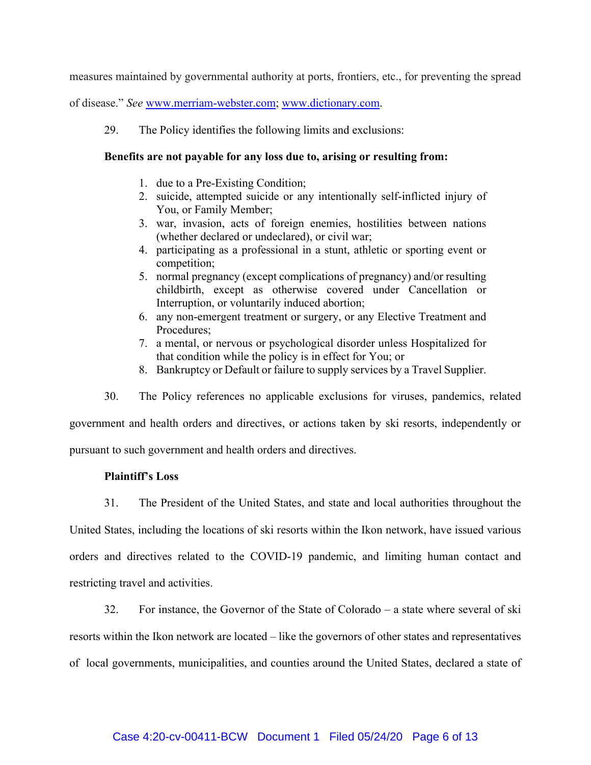measures maintained by governmental authority at ports, frontiers, etc., for preventing the spread

of disease." *See* www.merriam-webster.com; www.dictionary.com.

29. The Policy identifies the following limits and exclusions:

## **Benefits are not payable for any loss due to, arising or resulting from:**

- 1. due to a Pre-Existing Condition;
- 2. suicide, attempted suicide or any intentionally self-inflicted injury of You, or Family Member;
- 3. war, invasion, acts of foreign enemies, hostilities between nations (whether declared or undeclared), or civil war;
- 4. participating as a professional in a stunt, athletic or sporting event or competition;
- 5. normal pregnancy (except complications of pregnancy) and/or resulting childbirth, except as otherwise covered under Cancellation or Interruption, or voluntarily induced abortion;
- 6. any non-emergent treatment or surgery, or any Elective Treatment and Procedures;
- 7. a mental, or nervous or psychological disorder unless Hospitalized for that condition while the policy is in effect for You; or
- 8. Bankruptcy or Default or failure to supply services by a Travel Supplier.

30. The Policy references no applicable exclusions for viruses, pandemics, related government and health orders and directives, or actions taken by ski resorts, independently or pursuant to such government and health orders and directives.

# **Plaintiff's Loss**

31. The President of the United States, and state and local authorities throughout the

United States, including the locations of ski resorts within the Ikon network, have issued various orders and directives related to the COVID-19 pandemic, and limiting human contact and restricting travel and activities.

32. For instance, the Governor of the State of Colorado – a state where several of ski

resorts within the Ikon network are located – like the governors of other states and representatives of local governments, municipalities, and counties around the United States, declared a state of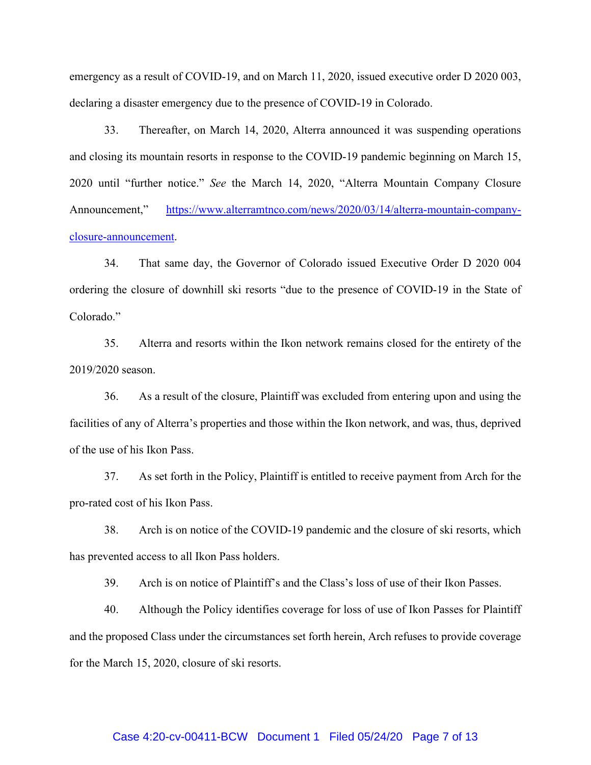emergency as a result of COVID-19, and on March 11, 2020, issued executive order D 2020 003, declaring a disaster emergency due to the presence of COVID-19 in Colorado.

33. Thereafter, on March 14, 2020, Alterra announced it was suspending operations and closing its mountain resorts in response to the COVID-19 pandemic beginning on March 15, 2020 until "further notice." *See* the March 14, 2020, "Alterra Mountain Company Closure Announcement," https://www.alterramtnco.com/news/2020/03/14/alterra-mountain-companyclosure-announcement.

34. That same day, the Governor of Colorado issued Executive Order D 2020 004 ordering the closure of downhill ski resorts "due to the presence of COVID-19 in the State of Colorado."

35. Alterra and resorts within the Ikon network remains closed for the entirety of the 2019/2020 season.

36. As a result of the closure, Plaintiff was excluded from entering upon and using the facilities of any of Alterra's properties and those within the Ikon network, and was, thus, deprived of the use of his Ikon Pass.

37. As set forth in the Policy, Plaintiff is entitled to receive payment from Arch for the pro-rated cost of his Ikon Pass.

38. Arch is on notice of the COVID-19 pandemic and the closure of ski resorts, which has prevented access to all Ikon Pass holders.

39. Arch is on notice of Plaintiff's and the Class's loss of use of their Ikon Passes.

40. Although the Policy identifies coverage for loss of use of Ikon Passes for Plaintiff and the proposed Class under the circumstances set forth herein, Arch refuses to provide coverage for the March 15, 2020, closure of ski resorts.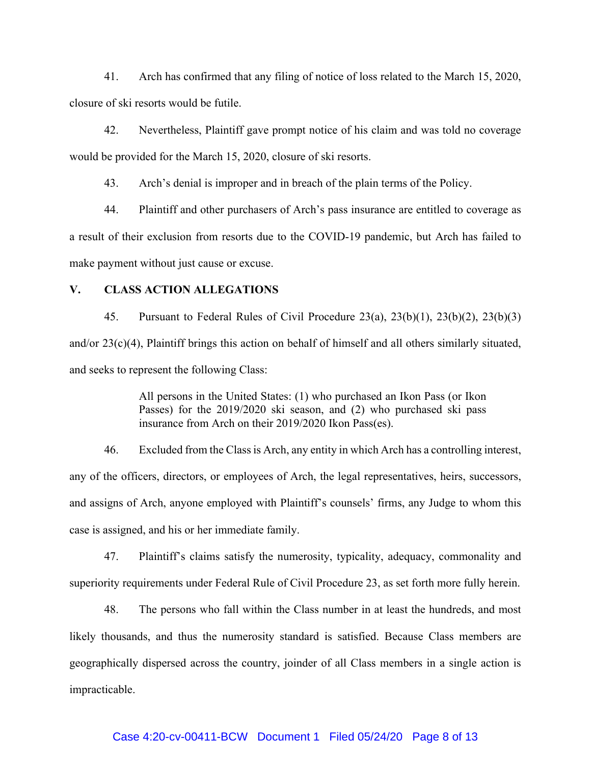41. Arch has confirmed that any filing of notice of loss related to the March 15, 2020, closure of ski resorts would be futile.

42. Nevertheless, Plaintiff gave prompt notice of his claim and was told no coverage would be provided for the March 15, 2020, closure of ski resorts.

43. Arch's denial is improper and in breach of the plain terms of the Policy.

44. Plaintiff and other purchasers of Arch's pass insurance are entitled to coverage as a result of their exclusion from resorts due to the COVID-19 pandemic, but Arch has failed to make payment without just cause or excuse.

## **V. CLASS ACTION ALLEGATIONS**

45. Pursuant to Federal Rules of Civil Procedure 23(a), 23(b)(1), 23(b)(2), 23(b)(3) and/or 23(c)(4), Plaintiff brings this action on behalf of himself and all others similarly situated, and seeks to represent the following Class:

> All persons in the United States: (1) who purchased an Ikon Pass (or Ikon Passes) for the 2019/2020 ski season, and (2) who purchased ski pass insurance from Arch on their 2019/2020 Ikon Pass(es).

46. Excluded from the Class is Arch, any entity in which Arch has a controlling interest, any of the officers, directors, or employees of Arch, the legal representatives, heirs, successors, and assigns of Arch, anyone employed with Plaintiff's counsels' firms, any Judge to whom this case is assigned, and his or her immediate family.

47. Plaintiff's claims satisfy the numerosity, typicality, adequacy, commonality and superiority requirements under Federal Rule of Civil Procedure 23, as set forth more fully herein.

48. The persons who fall within the Class number in at least the hundreds, and most likely thousands, and thus the numerosity standard is satisfied. Because Class members are geographically dispersed across the country, joinder of all Class members in a single action is impracticable.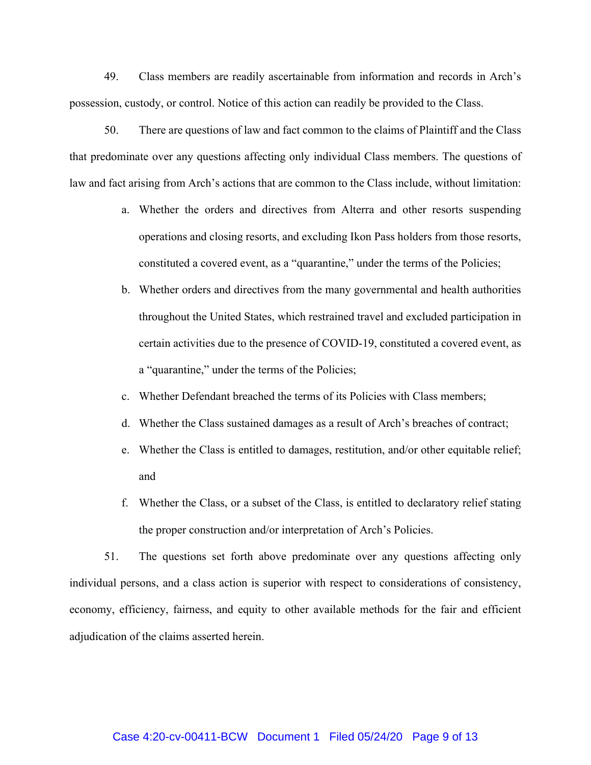49. Class members are readily ascertainable from information and records in Arch's possession, custody, or control. Notice of this action can readily be provided to the Class.

50. There are questions of law and fact common to the claims of Plaintiff and the Class that predominate over any questions affecting only individual Class members. The questions of law and fact arising from Arch's actions that are common to the Class include, without limitation:

- a. Whether the orders and directives from Alterra and other resorts suspending operations and closing resorts, and excluding Ikon Pass holders from those resorts, constituted a covered event, as a "quarantine," under the terms of the Policies;
- b. Whether orders and directives from the many governmental and health authorities throughout the United States, which restrained travel and excluded participation in certain activities due to the presence of COVID-19, constituted a covered event, as a "quarantine," under the terms of the Policies;
- c. Whether Defendant breached the terms of its Policies with Class members;
- d. Whether the Class sustained damages as a result of Arch's breaches of contract;
- e. Whether the Class is entitled to damages, restitution, and/or other equitable relief; and
- f. Whether the Class, or a subset of the Class, is entitled to declaratory relief stating the proper construction and/or interpretation of Arch's Policies.

51. The questions set forth above predominate over any questions affecting only individual persons, and a class action is superior with respect to considerations of consistency, economy, efficiency, fairness, and equity to other available methods for the fair and efficient adjudication of the claims asserted herein.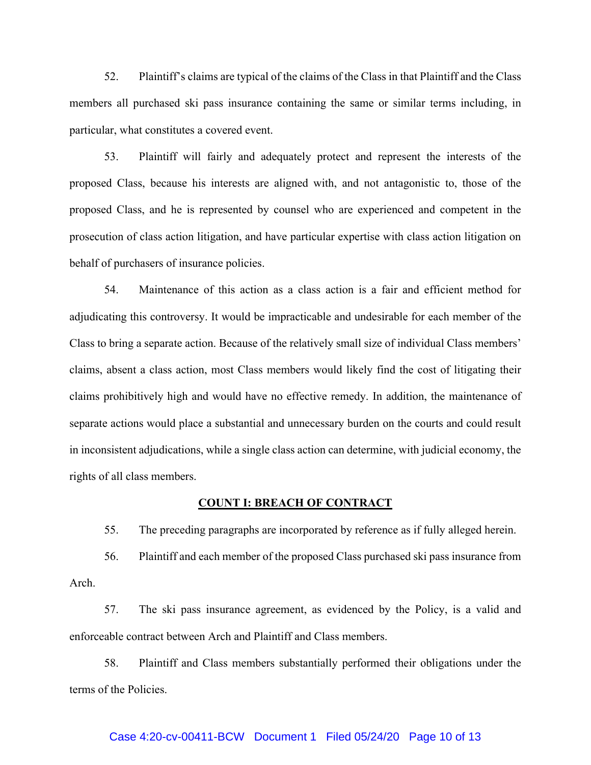52. Plaintiff's claims are typical of the claims of the Class in that Plaintiff and the Class members all purchased ski pass insurance containing the same or similar terms including, in particular, what constitutes a covered event.

53. Plaintiff will fairly and adequately protect and represent the interests of the proposed Class, because his interests are aligned with, and not antagonistic to, those of the proposed Class, and he is represented by counsel who are experienced and competent in the prosecution of class action litigation, and have particular expertise with class action litigation on behalf of purchasers of insurance policies.

54. Maintenance of this action as a class action is a fair and efficient method for adjudicating this controversy. It would be impracticable and undesirable for each member of the Class to bring a separate action. Because of the relatively small size of individual Class members' claims, absent a class action, most Class members would likely find the cost of litigating their claims prohibitively high and would have no effective remedy. In addition, the maintenance of separate actions would place a substantial and unnecessary burden on the courts and could result in inconsistent adjudications, while a single class action can determine, with judicial economy, the rights of all class members.

#### **COUNT I: BREACH OF CONTRACT**

55. The preceding paragraphs are incorporated by reference as if fully alleged herein.

56. Plaintiff and each member of the proposed Class purchased ski pass insurance from Arch.

57. The ski pass insurance agreement, as evidenced by the Policy, is a valid and enforceable contract between Arch and Plaintiff and Class members.

58. Plaintiff and Class members substantially performed their obligations under the terms of the Policies.

#### Case 4:20-cv-00411-BCW Document 1 Filed 05/24/20 Page 10 of 13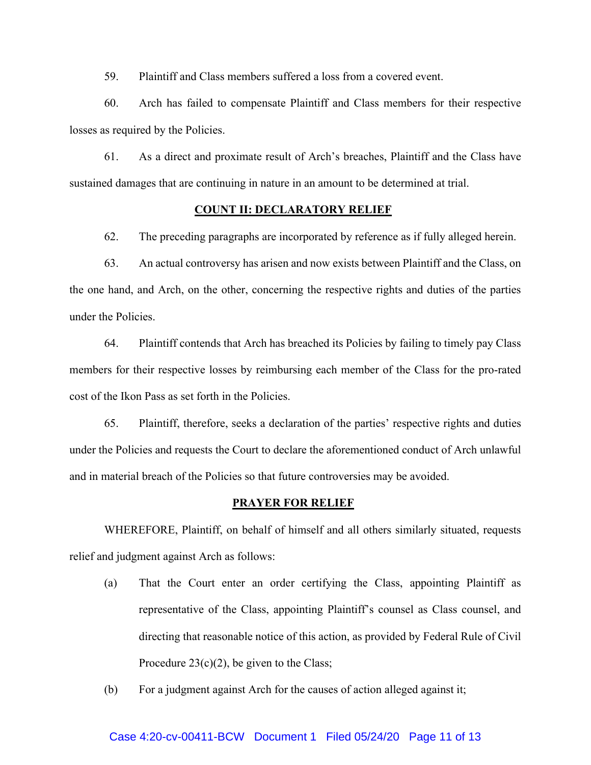59. Plaintiff and Class members suffered a loss from a covered event.

60. Arch has failed to compensate Plaintiff and Class members for their respective losses as required by the Policies.

61. As a direct and proximate result of Arch's breaches, Plaintiff and the Class have sustained damages that are continuing in nature in an amount to be determined at trial.

## **COUNT II: DECLARATORY RELIEF**

62. The preceding paragraphs are incorporated by reference as if fully alleged herein.

63. An actual controversy has arisen and now exists between Plaintiff and the Class, on the one hand, and Arch, on the other, concerning the respective rights and duties of the parties under the Policies.

64. Plaintiff contends that Arch has breached its Policies by failing to timely pay Class members for their respective losses by reimbursing each member of the Class for the pro-rated cost of the Ikon Pass as set forth in the Policies.

65. Plaintiff, therefore, seeks a declaration of the parties' respective rights and duties under the Policies and requests the Court to declare the aforementioned conduct of Arch unlawful and in material breach of the Policies so that future controversies may be avoided.

#### **PRAYER FOR RELIEF**

WHEREFORE, Plaintiff, on behalf of himself and all others similarly situated, requests relief and judgment against Arch as follows:

- (a) That the Court enter an order certifying the Class, appointing Plaintiff as representative of the Class, appointing Plaintiff's counsel as Class counsel, and directing that reasonable notice of this action, as provided by Federal Rule of Civil Procedure  $23(c)(2)$ , be given to the Class;
- (b) For a judgment against Arch for the causes of action alleged against it;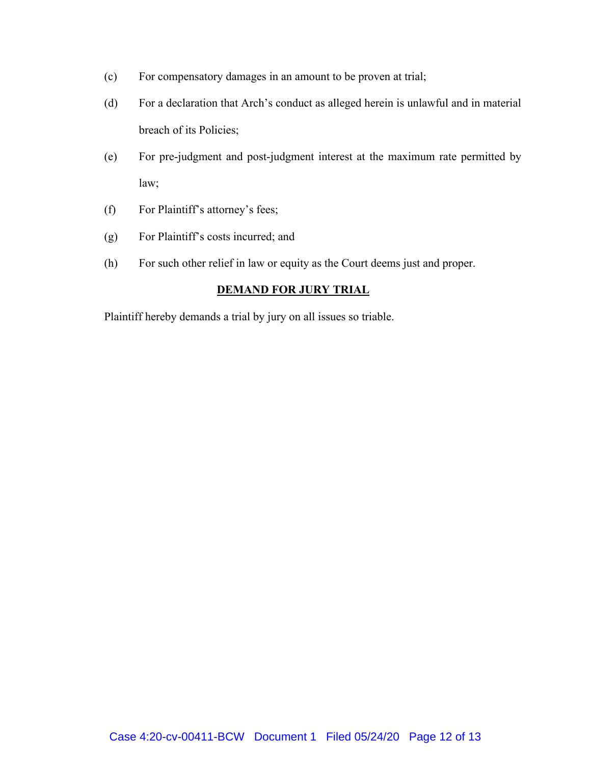- (c) For compensatory damages in an amount to be proven at trial;
- (d) For a declaration that Arch's conduct as alleged herein is unlawful and in material breach of its Policies;
- (e) For pre-judgment and post-judgment interest at the maximum rate permitted by law;
- (f) For Plaintiff's attorney's fees;
- (g) For Plaintiff's costs incurred; and
- (h) For such other relief in law or equity as the Court deems just and proper.

# **DEMAND FOR JURY TRIAL**

Plaintiff hereby demands a trial by jury on all issues so triable.